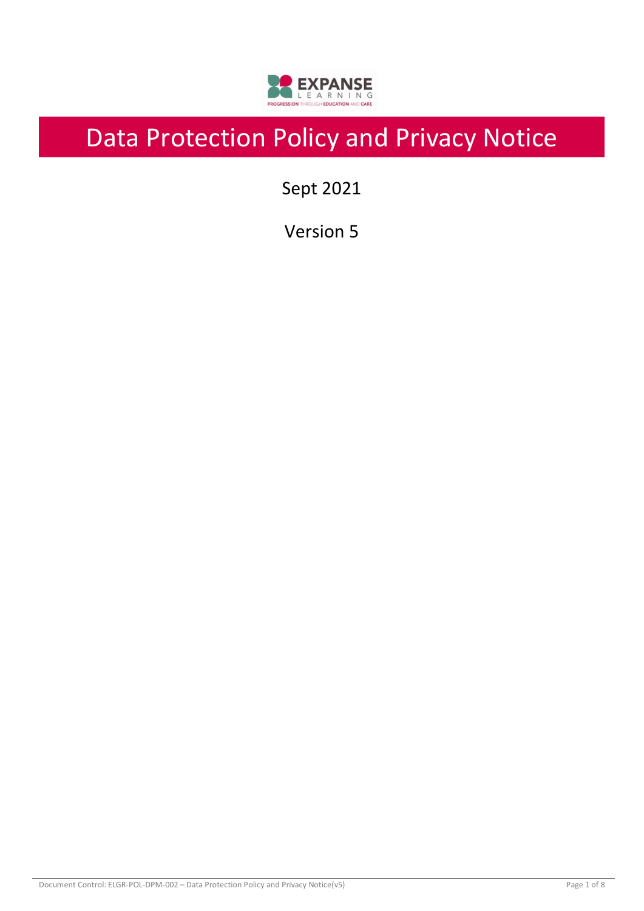

# Data Protection Policy and Privacy Notice

Sept 2021

Version 5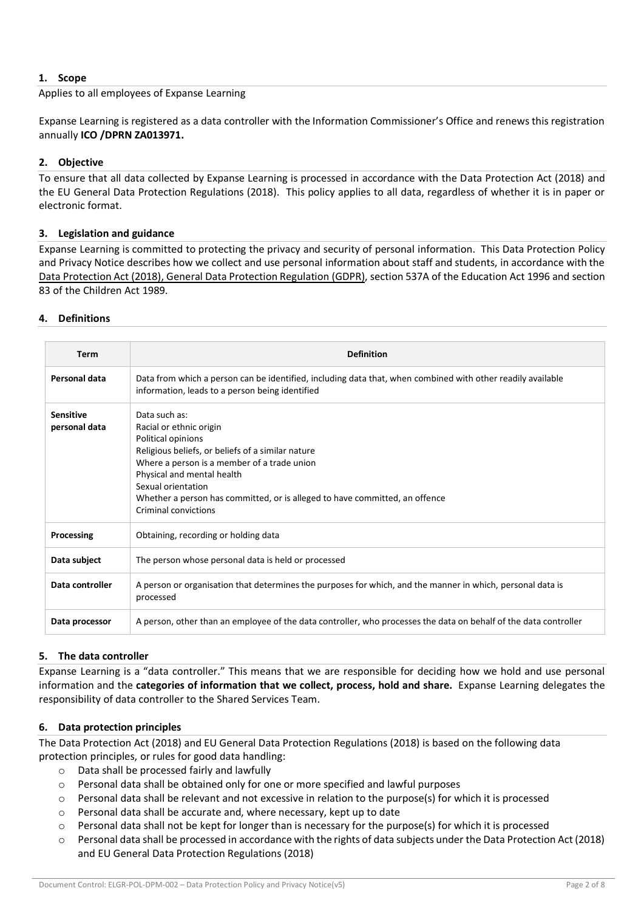# **1. Scope**

Applies to all employees of Expanse Learning

Expanse Learning is registered as a data controller with the Information Commissioner's Office and renews this registration annually **ICO /DPRN ZA013971.**

# **2. Objective**

To ensure that all data collected by Expanse Learning is processed in accordance with the Data Protection Act (2018) and the EU General Data Protection Regulations (2018). This policy applies to all data, regardless of whether it is in paper or electronic format.

## **3. Legislation and guidance**

Expanse Learning is committed to protecting the privacy and security of personal information. This Data Protection Policy and Privacy Notice describes how we collect and use personal information about staff and students, in accordance with the [Data Protection Act \(2018\),](http://www.legislation.gov.uk/ukpga/2018/12/contents/enacted) [General Data Protection Regulation](http://data.consilium.europa.eu/doc/document/ST-5419-2016-INIT/en/pdf) (GDPR), section 537A of the Education Act 1996 and section 83 of the Children Act 1989.

## **4. Definitions**

| <b>Term</b>                       | <b>Definition</b>                                                                                                                                                                                                                                                                                                             |
|-----------------------------------|-------------------------------------------------------------------------------------------------------------------------------------------------------------------------------------------------------------------------------------------------------------------------------------------------------------------------------|
| Personal data                     | Data from which a person can be identified, including data that, when combined with other readily available<br>information, leads to a person being identified                                                                                                                                                                |
| <b>Sensitive</b><br>personal data | Data such as:<br>Racial or ethnic origin<br>Political opinions<br>Religious beliefs, or beliefs of a similar nature<br>Where a person is a member of a trade union<br>Physical and mental health<br>Sexual orientation<br>Whether a person has committed, or is alleged to have committed, an offence<br>Criminal convictions |
| Processing                        | Obtaining, recording or holding data                                                                                                                                                                                                                                                                                          |
| Data subject                      | The person whose personal data is held or processed                                                                                                                                                                                                                                                                           |
| Data controller                   | A person or organisation that determines the purposes for which, and the manner in which, personal data is<br>processed                                                                                                                                                                                                       |
| Data processor                    | A person, other than an employee of the data controller, who processes the data on behalf of the data controller                                                                                                                                                                                                              |

# **5. The data controller**

Expanse Learning is a "data controller." This means that we are responsible for deciding how we hold and use personal information and the **categories of information that we collect, process, hold and share.** Expanse Learning delegates the responsibility of data controller to the Shared Services Team.

# **6. Data protection principles**

The Data Protection Act (2018) and EU General Data Protection Regulations (2018) is based on the following data protection principles, or rules for good data handling:

- o Data shall be processed fairly and lawfully
- o Personal data shall be obtained only for one or more specified and lawful purposes
- o Personal data shall be relevant and not excessive in relation to the purpose(s) for which it is processed
- o Personal data shall be accurate and, where necessary, kept up to date
- o Personal data shall not be kept for longer than is necessary for the purpose(s) for which it is processed
- Personal data shall be processed in accordance with the rights of data subjects under the Data Protection Act (2018) and EU General Data Protection Regulations (2018)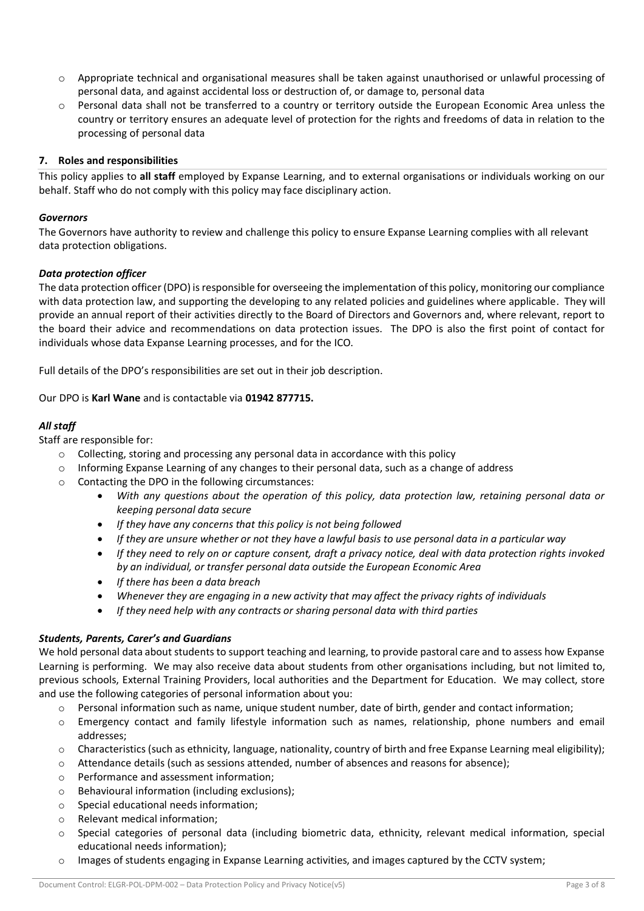- $\circ$  Appropriate technical and organisational measures shall be taken against unauthorised or unlawful processing of personal data, and against accidental loss or destruction of, or damage to, personal data
- o Personal data shall not be transferred to a country or territory outside the European Economic Area unless the country or territory ensures an adequate level of protection for the rights and freedoms of data in relation to the processing of personal data

# **7. Roles and responsibilities**

This policy applies to **all staff** employed by Expanse Learning, and to external organisations or individuals working on our behalf. Staff who do not comply with this policy may face disciplinary action.

# *Governors*

The Governors have authority to review and challenge this policy to ensure Expanse Learning complies with all relevant data protection obligations.

# *Data protection officer*

The data protection officer (DPO) is responsible for overseeing the implementation of this policy, monitoring our compliance with data protection law, and supporting the developing to any related policies and guidelines where applicable. They will provide an annual report of their activities directly to the Board of Directors and Governors and, where relevant, report to the board their advice and recommendations on data protection issues. The DPO is also the first point of contact for individuals whose data Expanse Learning processes, and for the ICO.

Full details of the DPO's responsibilities are set out in their job description.

Our DPO is **Karl Wane** and is contactable via **01942 877715.**

# *All staff*

Staff are responsible for:

- o Collecting, storing and processing any personal data in accordance with this policy
- o Informing Expanse Learning of any changes to their personal data, such as a change of address
- o Contacting the DPO in the following circumstances:
	- *With any questions about the operation of this policy, data protection law, retaining personal data or keeping personal data secure*
	- *If they have any concerns that this policy is not being followed*
	- *If they are unsure whether or not they have a lawful basis to use personal data in a particular way*
	- *If they need to rely on or capture consent, draft a privacy notice, deal with data protection rights invoked by an individual, or transfer personal data outside the European Economic Area*
	- *If there has been a data breach*
	- *Whenever they are engaging in a new activity that may affect the privacy rights of individuals*
	- *If they need help with any contracts or sharing personal data with third parties*

# *Students, Parents, Carer's and Guardians*

We hold personal data about students to support teaching and learning, to provide pastoral care and to assess how Expanse Learning is performing. We may also receive data about students from other organisations including, but not limited to, previous schools, External Training Providers, local authorities and the Department for Education. We may collect, store and use the following categories of personal information about you:

- $\circ$  Personal information such as name, unique student number, date of birth, gender and contact information;
- o Emergency contact and family lifestyle information such as names, relationship, phone numbers and email addresses;
- $\circ$  Characteristics (such as ethnicity, language, nationality, country of birth and free Expanse Learning meal eligibility);
- o Attendance details (such as sessions attended, number of absences and reasons for absence);
- o Performance and assessment information;
- o Behavioural information (including exclusions);
- o Special educational needs information;
- o Relevant medical information;
- o Special categories of personal data (including biometric data, ethnicity, relevant medical information, special educational needs information);
- o Images of students engaging in Expanse Learning activities, and images captured by the CCTV system;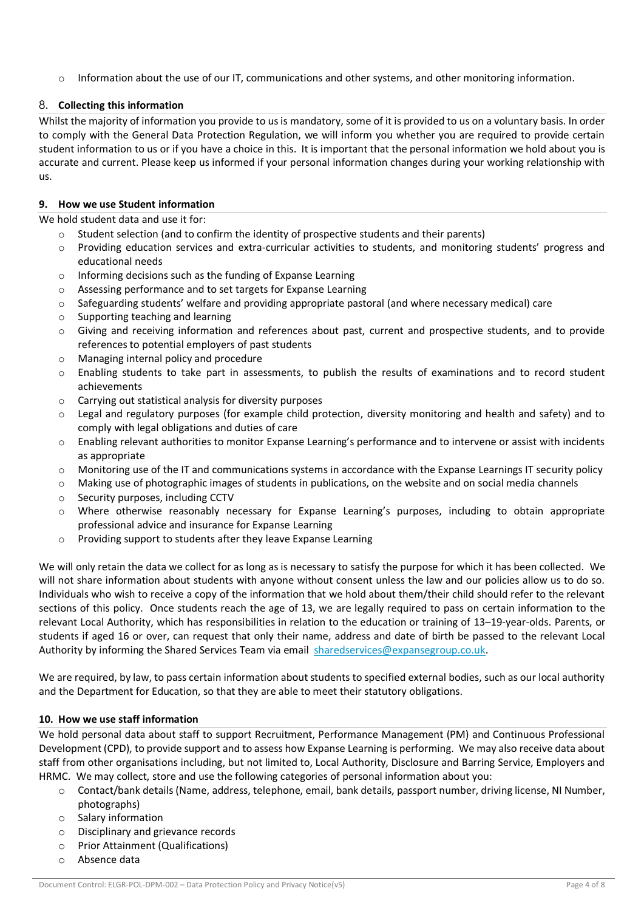$\circ$  Information about the use of our IT, communications and other systems, and other monitoring information.

# 8. **Collecting this information**

Whilst the majority of information you provide to us is mandatory, some of it is provided to us on a voluntary basis. In order to comply with the General Data Protection Regulation, we will inform you whether you are required to provide certain student information to us or if you have a choice in this. It is important that the personal information we hold about you is accurate and current. Please keep us informed if your personal information changes during your working relationship with us.

## **9. How we use Student information**

We hold student data and use it for:

- $\circ$  Student selection (and to confirm the identity of prospective students and their parents)
- o Providing education services and extra-curricular activities to students, and monitoring students' progress and educational needs
- o Informing decisions such as the funding of Expanse Learning
- o Assessing performance and to set targets for Expanse Learning
- $\circ$  Safeguarding students' welfare and providing appropriate pastoral (and where necessary medical) care
- o Supporting teaching and learning
- $\circ$  Giving and receiving information and references about past, current and prospective students, and to provide references to potential employers of past students
- o Managing internal policy and procedure
- o Enabling students to take part in assessments, to publish the results of examinations and to record student achievements
- o Carrying out statistical analysis for diversity purposes
- $\circ$  Legal and regulatory purposes (for example child protection, diversity monitoring and health and safety) and to comply with legal obligations and duties of care
- o Enabling relevant authorities to monitor Expanse Learning's performance and to intervene or assist with incidents as appropriate
- $\circ$  Monitoring use of the IT and communications systems in accordance with the Expanse Learnings IT security policy
- o Making use of photographic images of students in publications, on the website and on social media channels
- o Security purposes, including CCTV
- o Where otherwise reasonably necessary for Expanse Learning's purposes, including to obtain appropriate professional advice and insurance for Expanse Learning
- o Providing support to students after they leave Expanse Learning

We will only retain the data we collect for as long as is necessary to satisfy the purpose for which it has been collected. We will not share information about students with anyone without consent unless the law and our policies allow us to do so. Individuals who wish to receive a copy of the information that we hold about them/their child should refer to the relevant sections of this policy. Once students reach the age of 13, we are legally required to pass on certain information to the relevant Local Authority, which has responsibilities in relation to the education or training of 13–19-year-olds. Parents, or students if aged 16 or over, can request that only their name, address and date of birth be passed to the relevant Local Authority by informing the Shared Services Team via email [sharedservices@expansegroup.co.uk.](mailto:sharedservices@expansegroup.co.uk)

We are required, by law, to pass certain information about students to specified external bodies, such as our local authority and the Department for Education, so that they are able to meet their statutory obligations.

# **10. How we use staff information**

We hold personal data about staff to support Recruitment, Performance Management (PM) and Continuous Professional Development (CPD), to provide support and to assess how Expanse Learning is performing. We may also receive data about staff from other organisations including, but not limited to, Local Authority, Disclosure and Barring Service, Employers and HRMC. We may collect, store and use the following categories of personal information about you:

- o Contact/bank details (Name, address, telephone, email, bank details, passport number, driving license, NI Number, photographs)
- o Salary information
- o Disciplinary and grievance records
- o Prior Attainment (Qualifications)
- o Absence data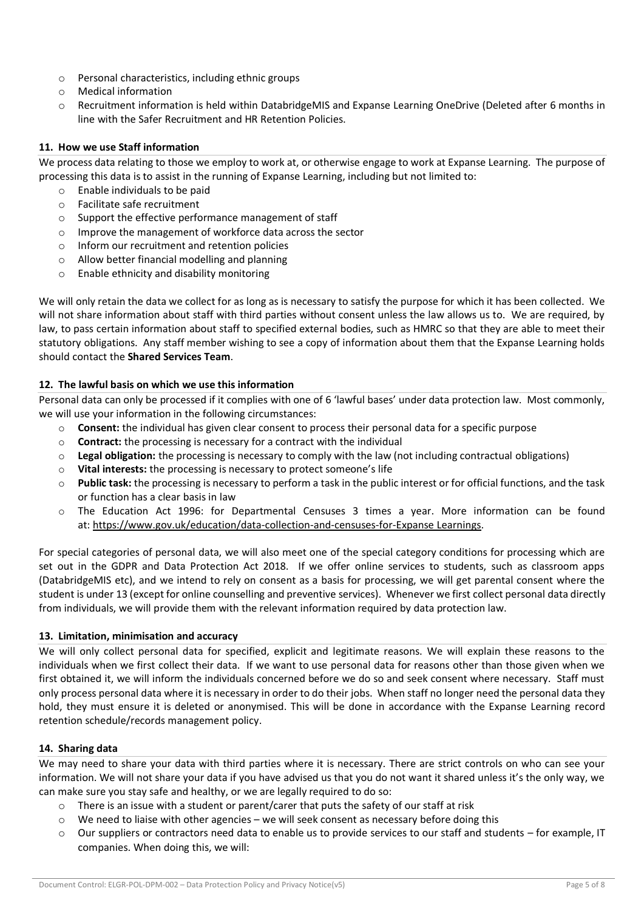- o Personal characteristics, including ethnic groups
- o Medical information
- o Recruitment information is held within DatabridgeMIS and Expanse Learning OneDrive (Deleted after 6 months in line with the Safer Recruitment and HR Retention Policies.

# **11. How we use Staff information**

We process data relating to those we employ to work at, or otherwise engage to work at Expanse Learning. The purpose of processing this data is to assist in the running of Expanse Learning, including but not limited to:

- o Enable individuals to be paid
- o Facilitate safe recruitment
- o Support the effective performance management of staff
- o Improve the management of workforce data across the sector
- o Inform our recruitment and retention policies
- o Allow better financial modelling and planning
- o Enable ethnicity and disability monitoring

We will only retain the data we collect for as long as is necessary to satisfy the purpose for which it has been collected. We will not share information about staff with third parties without consent unless the law allows us to. We are required, by law, to pass certain information about staff to specified external bodies, such as HMRC so that they are able to meet their statutory obligations. Any staff member wishing to see a copy of information about them that the Expanse Learning holds should contact the **Shared Services Team**.

# **12. The lawful basis on which we use this information**

Personal data can only be processed if it complies with one of 6 'lawful bases' under data protection law. Most commonly, we will use your information in the following circumstances:

- o **Consent:** the individual has given clear consent to process their personal data for a specific purpose
- o **Contract:** the processing is necessary for a contract with the individual
- o **Legal obligation:** the processing is necessary to comply with the law (not including contractual obligations)
- o **Vital interests:** the processing is necessary to protect someone's life
- o **Public task:** the processing is necessary to perform a task in the public interest or for official functions, and the task or function has a clear basis in law
- o The Education Act 1996: for Departmental Censuses 3 times a year. More information can be found at: [https://www.gov.uk/education/data-collection-and-censuses-for-Expanse](https://www.gov.uk/education/data-collection-and-censuses-for-schools) Learnings.

For special categories of personal data, we will also meet one of the special category conditions for processing which are set out in the GDPR and Data Protection Act 2018. If we offer online services to students, such as classroom apps (DatabridgeMIS etc), and we intend to rely on consent as a basis for processing, we will get parental consent where the student is under 13 (except for online counselling and preventive services). Whenever we first collect personal data directly from individuals, we will provide them with the relevant information required by data protection law.

# **13. Limitation, minimisation and accuracy**

We will only collect personal data for specified, explicit and legitimate reasons. We will explain these reasons to the individuals when we first collect their data. If we want to use personal data for reasons other than those given when we first obtained it, we will inform the individuals concerned before we do so and seek consent where necessary. Staff must only process personal data where it is necessary in order to do their jobs. When staff no longer need the personal data they hold, they must ensure it is deleted or anonymised. This will be done in accordance with the Expanse Learning record retention schedule/records management policy.

# **14. Sharing data**

We may need to share your data with third parties where it is necessary. There are strict controls on who can see your information. We will not share your data if you have advised us that you do not want it shared unless it's the only way, we can make sure you stay safe and healthy, or we are legally required to do so:

- $\circ$  There is an issue with a student or parent/carer that puts the safety of our staff at risk
- $\circ$  We need to liaise with other agencies we will seek consent as necessary before doing this
- $\circ$  Our suppliers or contractors need data to enable us to provide services to our staff and students for example, IT companies. When doing this, we will: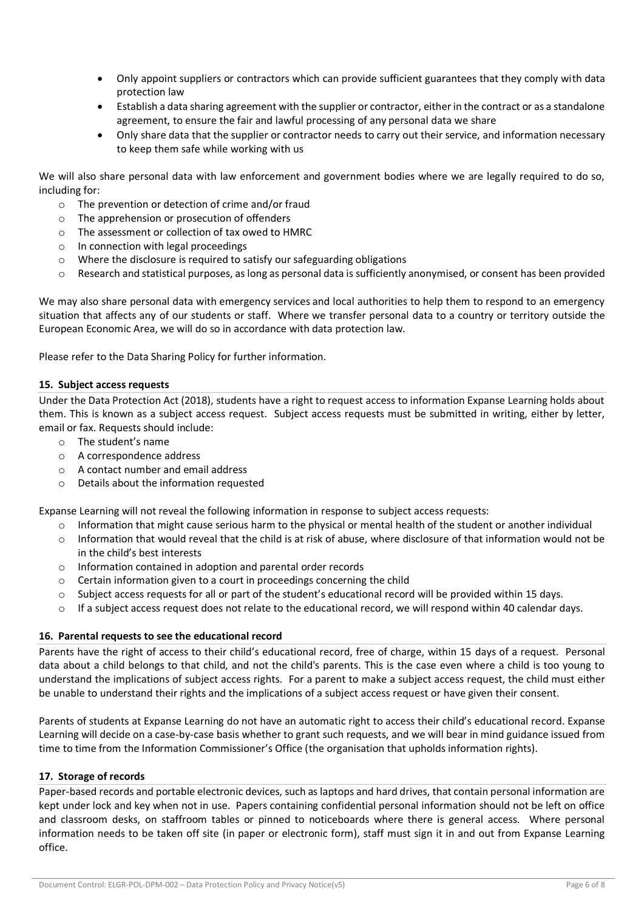- Only appoint suppliers or contractors which can provide sufficient guarantees that they comply with data protection law
- Establish a data sharing agreement with the supplier or contractor, either in the contract or as a standalone agreement, to ensure the fair and lawful processing of any personal data we share
- Only share data that the supplier or contractor needs to carry out their service, and information necessary to keep them safe while working with us

We will also share personal data with law enforcement and government bodies where we are legally required to do so, including for:

- o The prevention or detection of crime and/or fraud
- o The apprehension or prosecution of offenders
- o The assessment or collection of tax owed to HMRC
- o In connection with legal proceedings
- $\circ$  Where the disclosure is required to satisfy our safeguarding obligations
- $\circ$  Research and statistical purposes, as long as personal data is sufficiently anonymised, or consent has been provided

We may also share personal data with emergency services and local authorities to help them to respond to an emergency situation that affects any of our students or staff. Where we transfer personal data to a country or territory outside the European Economic Area, we will do so in accordance with data protection law.

Please refer to the Data Sharing Policy for further information.

## **15. Subject access requests**

Under the Data Protection Act (2018), students have a right to request access to information Expanse Learning holds about them. This is known as a subject access request. Subject access requests must be submitted in writing, either by letter, email or fax. Requests should include:

- o The student's name
- o A correspondence address
- o A contact number and email address
- o Details about the information requested

Expanse Learning will not reveal the following information in response to subject access requests:

- $\circ$  Information that might cause serious harm to the physical or mental health of the student or another individual
- o Information that would reveal that the child is at risk of abuse, where disclosure of that information would not be in the child's best interests
- o Information contained in adoption and parental order records
- $\circ$  Certain information given to a court in proceedings concerning the child
- $\circ$  Subject access requests for all or part of the student's educational record will be provided within 15 days.
- $\circ$  If a subject access request does not relate to the educational record, we will respond within 40 calendar days.

## **16. Parental requests to see the educational record**

Parents have the right of access to their child's educational record, free of charge, within 15 days of a request. Personal data about a child belongs to that child, and not the child's parents. This is the case even where a child is too young to understand the implications of subject access rights. For a parent to make a subject access request, the child must either be unable to understand their rights and the implications of a subject access request or have given their consent.

Parents of students at Expanse Learning do not have an automatic right to access their child's educational record. Expanse Learning will decide on a case-by-case basis whether to grant such requests, and we will bear in mind guidance issued from time to time from the Information Commissioner's Office (the organisation that upholds information rights).

## **17. Storage of records**

Paper-based records and portable electronic devices, such as laptops and hard drives, that contain personal information are kept under lock and key when not in use. Papers containing confidential personal information should not be left on office and classroom desks, on staffroom tables or pinned to noticeboards where there is general access. Where personal information needs to be taken off site (in paper or electronic form), staff must sign it in and out from Expanse Learning office.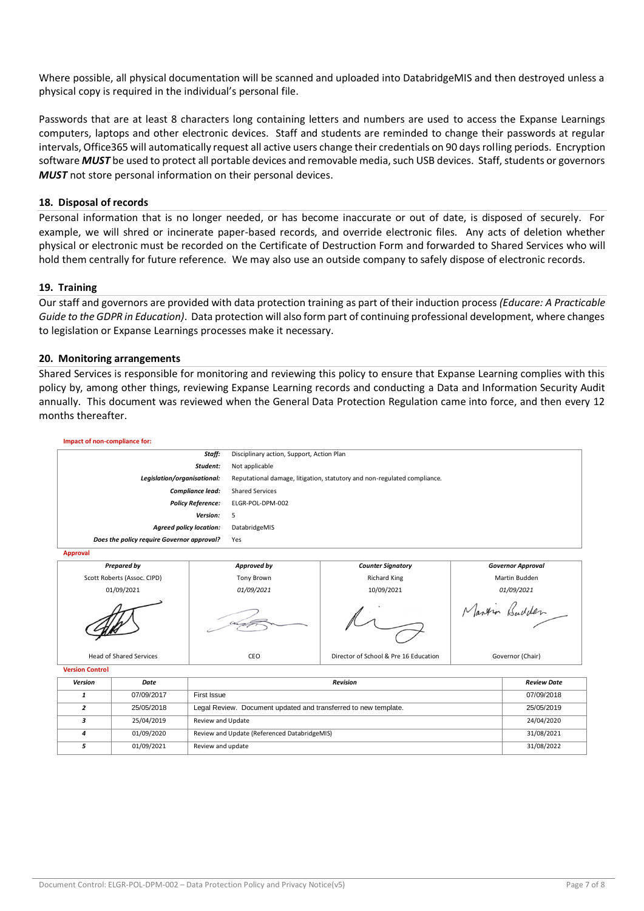Where possible, all physical documentation will be scanned and uploaded into DatabridgeMIS and then destroyed unless a physical copy is required in the individual's personal file.

Passwords that are at least 8 characters long containing letters and numbers are used to access the Expanse Learnings computers, laptops and other electronic devices. Staff and students are reminded to change their passwords at regular intervals, Office365 will automatically request all active users change their credentials on 90 days rolling periods. Encryption software *MUST* be used to protect all portable devices and removable media, such USB devices. Staff, students or governors *MUST* not store personal information on their personal devices.

## **18. Disposal of records**

Personal information that is no longer needed, or has become inaccurate or out of date, is disposed of securely. For example, we will shred or incinerate paper-based records, and override electronic files. Any acts of deletion whether physical or electronic must be recorded on the Certificate of Destruction Form and forwarded to Shared Services who will hold them centrally for future reference. We may also use an outside company to safely dispose of electronic records.

## **19. Training**

Our staff and governors are provided with data protection training as part of their induction process *(Educare: A Practicable Guide to the GDPR in Education)*. Data protection will also form part of continuing professional development, where changes to legislation or Expanse Learnings processes make it necessary.

#### **20. Monitoring arrangements**

Shared Services is responsible for monitoring and reviewing this policy to ensure that Expanse Learning complies with this policy by, among other things, reviewing Expanse Learning records and conducting a Data and Information Security Audit annually. This document was reviewed when the General Data Protection Regulation came into force, and then every 12 months thereafter.